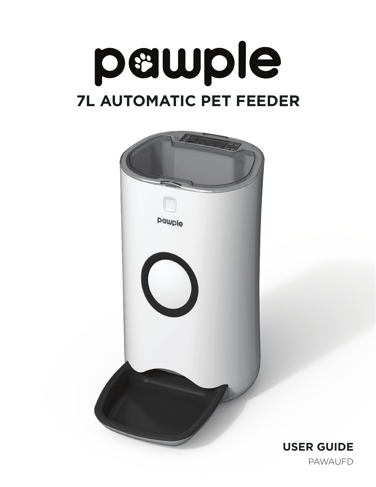



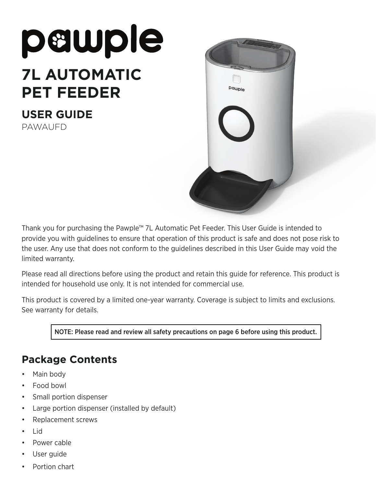# pawple **7L AUTOMATIC PET FEEDER**

**USER GUIDE** PAWAUFD



Thank you for purchasing the Pawple™ 7L Automatic Pet Feeder. This User Guide is intended to provide you with guidelines to ensure that operation of this product is safe and does not pose risk to the user. Any use that does not conform to the guidelines described in this User Guide may void the limited warranty.

Please read all directions before using the product and retain this guide for reference. This product is intended for household use only. It is not intended for commercial use.

This product is covered by a limited one-year warranty. Coverage is subject to limits and exclusions. See warranty for details.

NOTE: Please read and review all safety precautions on page 6 before using this product.

## **Package Contents**

- Main body
- Food bowl
- Small portion dispenser
- Large portion dispenser (installed by default)
- Replacement screws
- Lid
- Power cable
- User guide
- Portion chart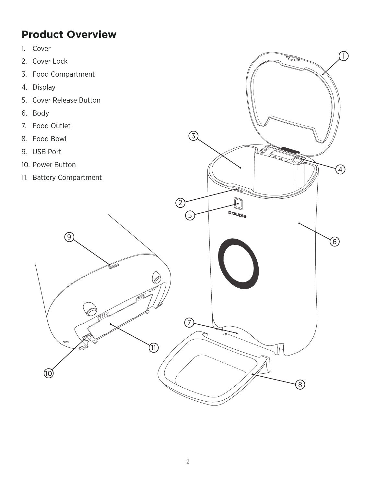## **Product Overview**

- 1. Cover
- 2. Cover Lock
- 3. Food Compartment
- 4. Display
- 5. Cover Release Button
- 6. Body
- 7. Food Outlet
- 8. Food Bowl
- 9. USB Port
- 10. Power Button
- 11. Battery Compartment



 $\odot$ 

 $\textcircled{\small{1}}$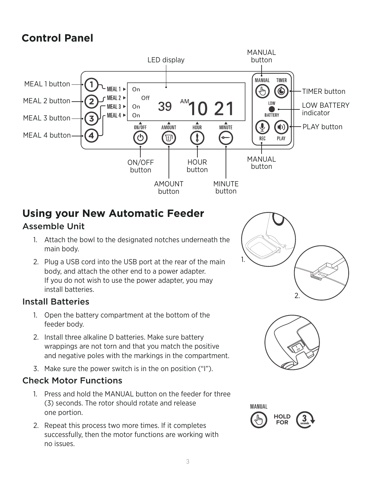# **Control Panel**



## **Using your New Automatic Feeder**

## Assemble Unit

- 1. Attach the bowl to the designated notches underneath the main body.
- 2. Plug a USB cord into the USB port at the rear of the main body, and attach the other end to a power adapter. If you do not wish to use the power adapter, you may install batteries.

#### Install Batteries

- 1. Open the battery compartment at the bottom of the feeder body.
- 2. Install three alkaline D batteries. Make sure battery wrappings are not torn and that you match the positive and negative poles with the markings in the compartment.
- 3. Make sure the power switch is in the on position ("I").

#### Check Motor Functions

- 1. Press and hold the MANUAL button on the feeder for three (3) seconds. The rotor should rotate and release one portion.
- 2. Repeat this process two more times. If it completes successfully, then the motor functions are working with no issues.





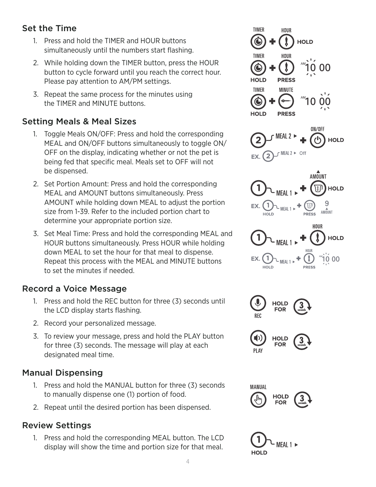### Set the Time

- 1. Press and hold the TIMER and HOUR buttons simultaneously until the numbers start flashing.
- 2. While holding down the TIMER button, press the HOUR button to cycle forward until you reach the correct hour. Please pay attention to AM/PM settings.
- 3. Repeat the same process for the minutes using the TIMER and MINUTE buttons.

### Setting Meals & Meal Sizes

- 1. Toggle Meals ON/OFF: Press and hold the corresponding MEAL and ON/OFF buttons simultaneously to toggle ON/ OFF on the display, indicating whether or not the pet is being fed that specific meal. Meals set to OFF will not be dispensed.
- 2. Set Portion Amount: Press and hold the corresponding MEAL and AMOUNT buttons simultaneously. Press AMOUNT while holding down MEAL to adjust the portion size from 1-39. Refer to the included portion chart to determine your appropriate portion size.
- 3. Set Meal Time: Press and hold the corresponding MEAL and HOUR buttons simultaneously. Press HOUR while holding down MEAL to set the hour for that meal to dispense. Repeat this process with the MEAL and MINUTE buttons to set the minutes if needed.

#### Record a Voice Message

- 1. Press and hold the REC button for three (3) seconds until the LCD display starts flashing.
- 2. Record your personalized message.
- 3. To review your message, press and hold the PLAY button for three (3) seconds. The message will play at each designated meal time.

#### Manual Dispensing

- 1. Press and hold the MANUAL button for three (3) seconds to manually dispense one (1) portion of food.
- 2. Repeat until the desired portion has been dispensed.

## Review Settings

1. Press and hold the corresponding MEAL button. The LCD display will show the time and portion size for that meal.







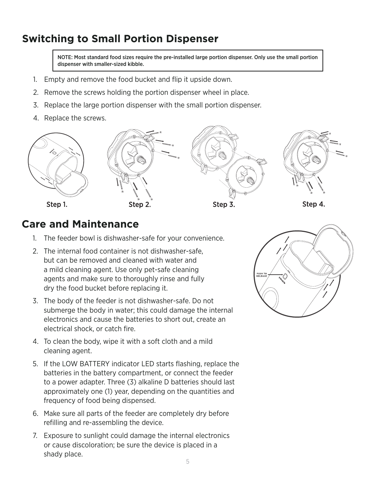## **Switching to Small Portion Dispenser**

NOTE: Most standard food sizes require the pre-installed large portion dispenser. Only use the small portion dispenser with smaller-sized kibble.

- 1. Empty and remove the food bucket and flip it upside down.
- 2. Remove the screws holding the portion dispenser wheel in place.
- 3. Replace the large portion dispenser with the small portion dispenser.
- 4. Replace the screws.



Step 1.







Step 4.

## **Care and Maintenance**

- 1. The feeder bowl is dishwasher-safe for your convenience.
- 2. The internal food container is not dishwasher-safe, but can be removed and cleaned with water and a mild cleaning agent. Use only pet-safe cleaning agents and make sure to thoroughly rinse and fully dry the food bucket before replacing it.
- 3. The body of the feeder is not dishwasher-safe. Do not submerge the body in water; this could damage the internal electronics and cause the batteries to short out, create an electrical shock, or catch fire.
- 4. To clean the body, wipe it with a soft cloth and a mild cleaning agent.
- 5. If the LOW BATTERY indicator LED starts flashing, replace the batteries in the battery compartment, or connect the feeder to a power adapter. Three (3) alkaline D batteries should last approximately one (1) year, depending on the quantities and frequency of food being dispensed.
- 6. Make sure all parts of the feeder are completely dry before refilling and re-assembling the device.
- 7. Exposure to sunlight could damage the internal electronics or cause discoloration; be sure the device is placed in a shady place.

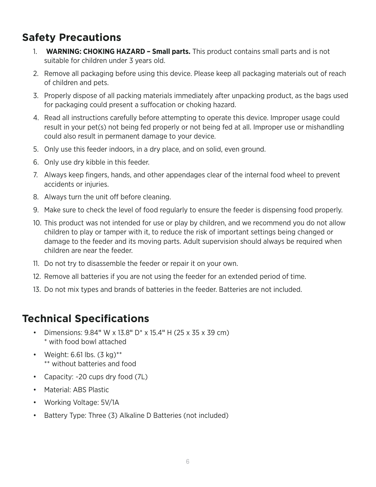## **Safety Precautions**

- 1. **WARNING: CHOKING HAZARD Small parts.** This product contains small parts and is not suitable for children under 3 years old.
- 2. Remove all packaging before using this device. Please keep all packaging materials out of reach of children and pets.
- 3. Properly dispose of all packing materials immediately after unpacking product, as the bags used for packaging could present a suffocation or choking hazard.
- 4. Read all instructions carefully before attempting to operate this device. Improper usage could result in your pet(s) not being fed properly or not being fed at all. Improper use or mishandling could also result in permanent damage to your device.
- 5. Only use this feeder indoors, in a dry place, and on solid, even ground.
- 6. Only use dry kibble in this feeder.
- 7. Always keep fingers, hands, and other appendages clear of the internal food wheel to prevent accidents or injuries.
- 8. Always turn the unit off before cleaning.
- 9. Make sure to check the level of food regularly to ensure the feeder is dispensing food properly.
- 10. This product was not intended for use or play by children, and we recommend you do not allow children to play or tamper with it, to reduce the risk of important settings being changed or damage to the feeder and its moving parts. Adult supervision should always be required when children are near the feeder.
- 11. Do not try to disassemble the feeder or repair it on your own.
- 12. Remove all batteries if you are not using the feeder for an extended period of time.
- 13. Do not mix types and brands of batteries in the feeder. Batteries are not included.

## **Technical Specifications**

- Dimensions: 9.84" W x 13.8" D\* x 15.4" H (25 x 35 x 39 cm) \* with food bowl attached
- Weight: 6.61 lbs.  $(3 \text{ kg})^{**}$ \*\* without batteries and food
- Capacity: ~20 cups dry food (7L)
- Material: ABS Plastic
- Working Voltage: 5V/1A
- Battery Type: Three (3) Alkaline D Batteries (not included)